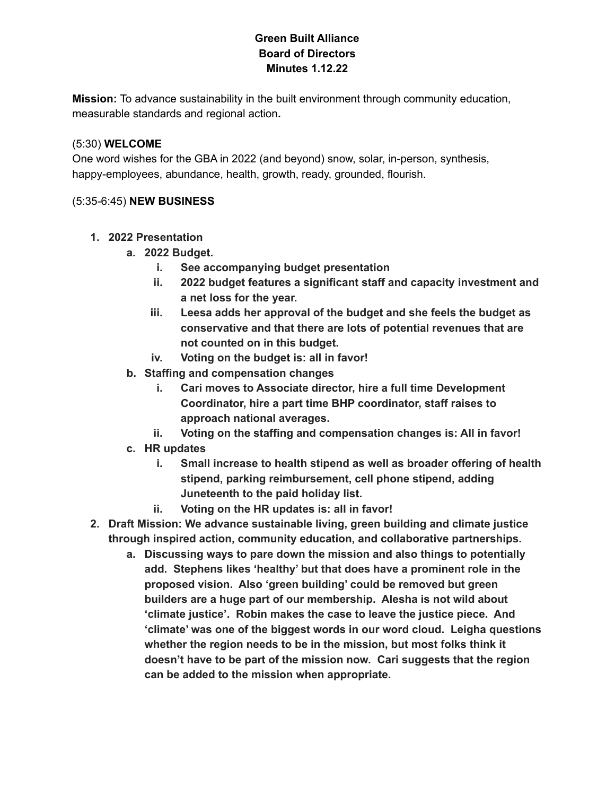## **Green Built Alliance Board of Directors Minutes 1.12.22**

**Mission:** To advance sustainability in the built environment through community education, measurable standards and regional action**.**

### (5:30) **WELCOME**

One word wishes for the GBA in 2022 (and beyond) snow, solar, in-person, synthesis, happy-employees, abundance, health, growth, ready, grounded, flourish.

### (5:35-6:45) **NEW BUSINESS**

- **1. 2022 Presentation**
	- **a. 2022 Budget.**
		- **i. See accompanying budget presentation**
		- **ii. 2022 budget features a significant staff and capacity investment and a net loss for the year.**
		- **iii. Leesa adds her approval of the budget and she feels the budget as conservative and that there are lots of potential revenues that are not counted on in this budget.**
		- **iv. Voting on the budget is: all in favor!**
	- **b. Staffing and compensation changes**
		- **i. Cari moves to Associate director, hire a full time Development Coordinator, hire a part time BHP coordinator, staff raises to approach national averages.**
		- **ii. Voting on the staffing and compensation changes is: All in favor!**
	- **c. HR updates**
		- **i. Small increase to health stipend as well as broader offering of health stipend, parking reimbursement, cell phone stipend, adding Juneteenth to the paid holiday list.**
		- **ii. Voting on the HR updates is: all in favor!**
- **2. Draft Mission: We advance sustainable living, green building and climate justice through inspired action, community education, and collaborative partnerships.**
	- **a. Discussing ways to pare down the mission and also things to potentially add. Stephens likes 'healthy' but that does have a prominent role in the proposed vision. Also 'green building' could be removed but green builders are a huge part of our membership. Alesha is not wild about 'climate justice'. Robin makes the case to leave the justice piece. And 'climate' was one of the biggest words in our word cloud. Leigha questions whether the region needs to be in the mission, but most folks think it doesn't have to be part of the mission now. Cari suggests that the region can be added to the mission when appropriate.**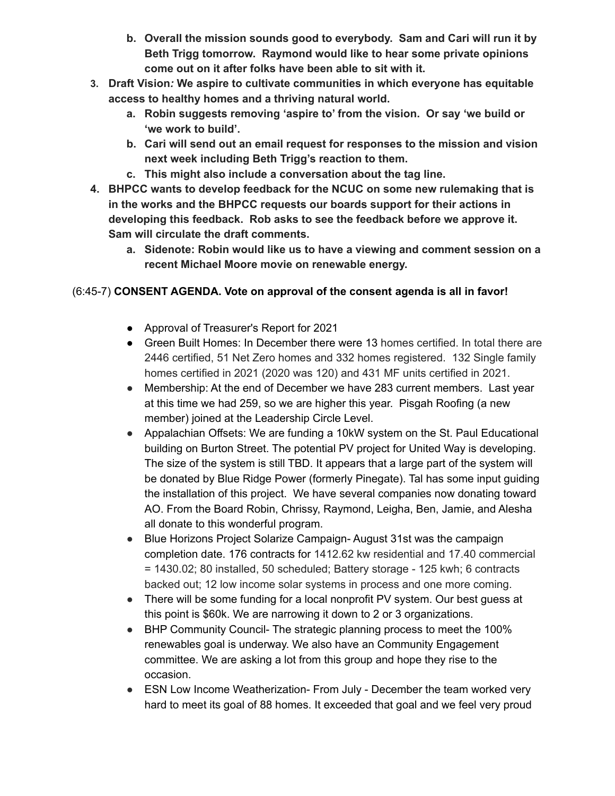- **b. Overall the mission sounds good to everybody. Sam and Cari will run it by Beth Trigg tomorrow. Raymond would like to hear some private opinions come out on it after folks have been able to sit with it.**
- **3. Draft Vision***:* **We aspire to cultivate communities in which everyone has equitable access to healthy homes and a thriving natural world.**
	- **a. Robin suggests removing 'aspire to' from the vision. Or say 'we build or 'we work to build'.**
	- **b. Cari will send out an email request for responses to the mission and vision next week including Beth Trigg's reaction to them.**
	- **c. This might also include a conversation about the tag line.**
- **4. BHPCC wants to develop feedback for the NCUC on some new rulemaking that is in the works and the BHPCC requests our boards support for their actions in developing this feedback. Rob asks to see the feedback before we approve it. Sam will circulate the draft comments.**
	- **a. Sidenote: Robin would like us to have a viewing and comment session on a recent Michael Moore movie on renewable energy.**

# (6:45-7) **CONSENT AGENDA. Vote on approval of the consent agenda is all in favor!**

- Approval of Treasurer's Report for 2021
- Green Built Homes: In December there were 13 homes certified. In total there are 2446 certified, 51 Net Zero homes and 332 homes registered. 132 Single family homes certified in 2021 (2020 was 120) and 431 MF units certified in 2021.
- Membership: At the end of December we have 283 current members. Last year at this time we had 259, so we are higher this year. Pisgah Roofing (a new member) joined at the Leadership Circle Level.
- Appalachian Offsets: We are funding a 10kW system on the St. Paul Educational building on Burton Street. The potential PV project for United Way is developing. The size of the system is still TBD. It appears that a large part of the system will be donated by Blue Ridge Power (formerly Pinegate). Tal has some input guiding the installation of this project. We have several companies now donating toward AO. From the Board Robin, Chrissy, Raymond, Leigha, Ben, Jamie, and Alesha all donate to this wonderful program.
- Blue Horizons Project Solarize Campaign-August 31st was the campaign completion date. 176 contracts for 1412.62 kw residential and 17.40 commercial = 1430.02; 80 installed, 50 scheduled; Battery storage - 125 kwh; 6 contracts backed out; 12 low income solar systems in process and one more coming.
- There will be some funding for a local nonprofit PV system. Our best guess at this point is \$60k. We are narrowing it down to 2 or 3 organizations.
- BHP Community Council- The strategic planning process to meet the 100% renewables goal is underway. We also have an Community Engagement committee. We are asking a lot from this group and hope they rise to the occasion.
- ESN Low Income Weatherization- From July December the team worked very hard to meet its goal of 88 homes. It exceeded that goal and we feel very proud